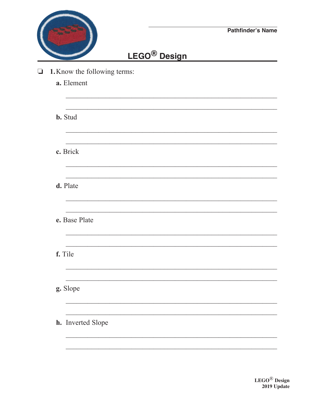|                              |                          | <b>Pathfinder's Name</b> |
|------------------------------|--------------------------|--------------------------|
|                              | LEGO <sup>®</sup> Design |                          |
| 1. Know the following terms: |                          |                          |
| a. Element                   |                          |                          |
| <b>b.</b> Stud               |                          |                          |
|                              |                          |                          |
| c. Brick                     |                          |                          |
| d. Plate                     |                          |                          |
| e. Base Plate                |                          |                          |
| f. Tile                      |                          |                          |
|                              |                          |                          |
| g. Slope                     |                          |                          |
| h. Inverted Slope            |                          |                          |
|                              |                          |                          |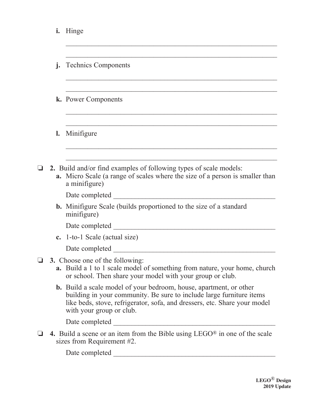| i.           | Hinge                                                                                                                                                                                                                                                      |
|--------------|------------------------------------------------------------------------------------------------------------------------------------------------------------------------------------------------------------------------------------------------------------|
|              |                                                                                                                                                                                                                                                            |
| $\mathbf{I}$ | <b>Technics Components</b>                                                                                                                                                                                                                                 |
|              |                                                                                                                                                                                                                                                            |
|              | k. Power Components                                                                                                                                                                                                                                        |
|              |                                                                                                                                                                                                                                                            |
| l.           | Minifigure                                                                                                                                                                                                                                                 |
|              |                                                                                                                                                                                                                                                            |
|              | 2. Build and/or find examples of following types of scale models:<br><b>a.</b> Micro Scale (a range of scales where the size of a person is smaller than<br>a minifigure)                                                                                  |
|              | Date completed                                                                                                                                                                                                                                             |
|              | <b>b.</b> Minifigure Scale (builds proportioned to the size of a standard<br>minifigure)                                                                                                                                                                   |
|              | Date completed                                                                                                                                                                                                                                             |
|              | c. 1-to-1 Scale (actual size)                                                                                                                                                                                                                              |
|              | Date completed                                                                                                                                                                                                                                             |
|              | 3. Choose one of the following:<br>a. Build a 1 to 1 scale model of something from nature, your home, church<br>or school. Then share your model with your group or club.                                                                                  |
|              | <b>b.</b> Build a scale model of your bedroom, house, apartment, or other<br>building in your community. Be sure to include large furniture items<br>like beds, stove, refrigerator, sofa, and dressers, etc. Share your model<br>with your group or club. |
|              |                                                                                                                                                                                                                                                            |
|              | 4. Build a scene or an item from the Bible using $LEGO^{\circledast}$ in one of the scale<br>sizes from Requirement $#2$ .                                                                                                                                 |
|              |                                                                                                                                                                                                                                                            |